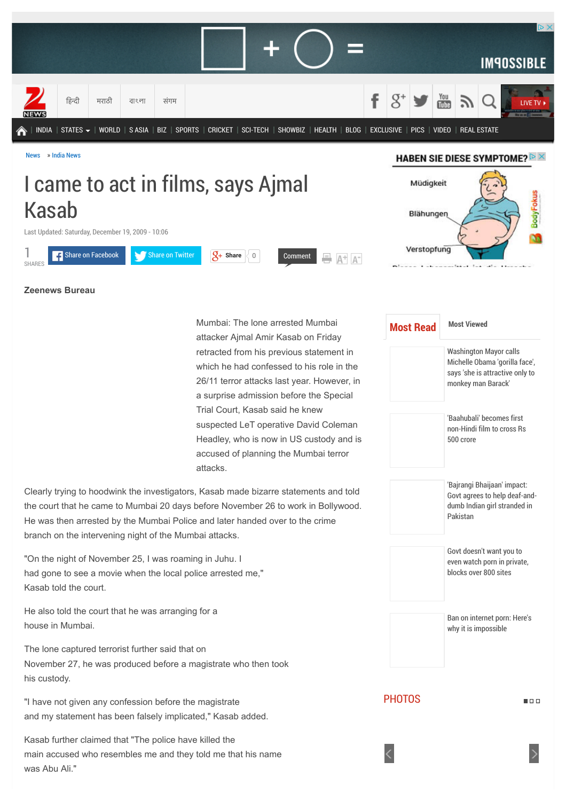

# I came to act in films, says Ajmal Kasab

Last Updated: Saturday, December 19, 2009 - 10:06



# $A^+$   $A^-$

Blähunger

Müdigkeit

Verstopfung

**Zeenews Bureau**

1

Mumbai: The lone arrested Mumbai attacker Ajmal Amir Kasab on Friday retracted from his previous statement in which he had confessed to his role in the 26/11 terror attacks last year. However, in a surprise admission before the Special Trial Court, Kasab said he knew suspected LeT operative David Coleman Headley, who is now in US custody and is accused of planning the Mumbai terror attacks.

Clearly trying to hoodwink the investigators, Kasab made bizarre statements and told the court that he came to Mumbai 20 days before November 26 to work in Bollywood. He was then arrested by the Mumbai Police and later handed over to the crime branch on the intervening night of the Mumbai attacks.

"On the night of November 25, I was roaming in Juhu. I had gone to see a movie when the local police arrested me," Kasab told the court.

He also told the court that he was arranging for a house in Mumbai.

The lone captured terrorist further said that on November 27, he was produced before a magistrate who then took his custody.

"I have not given any confession before the magistrate and my statement has been falsely implicated," Kasab added.

Kasab further claimed that "The police have killed the main accused who resembles me and they told me that his name was Abu Ali."

| <b>Most Read</b> | <b>Most Viewed</b>                                                                                                       |  |  |
|------------------|--------------------------------------------------------------------------------------------------------------------------|--|--|
|                  | <b>Washington Mayor calls</b><br>Michelle Obama 'gorilla face',<br>says 'she is attractive only to<br>monkey man Barack' |  |  |
|                  | 'Baahuhali' becomes first<br>non-Hindi film to cross Rs<br>500 crore                                                     |  |  |
|                  | 'Bajrangi Bhaijaan' impact:<br>Govt agrees to help deaf-and-<br>dumb Indian girl stranded in<br>Pakistan                 |  |  |
|                  | Govt doesn't want you to<br>even watch porn in private,<br>blocks over 800 sites                                         |  |  |
|                  | Ban on internet porn: Here's<br>why it is impossible                                                                     |  |  |

**PHOTOS** 

 $n \cap n$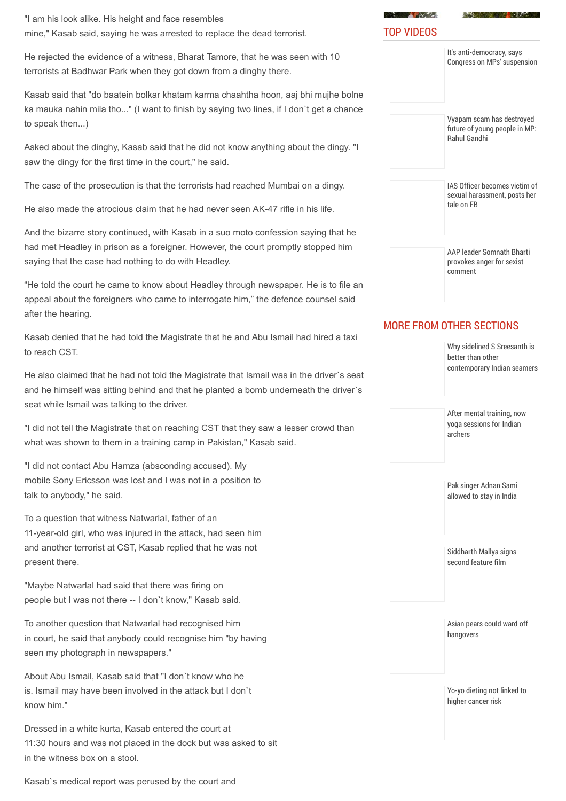"I am his look alike. His height and face resembles mine," Kasab said, saying he was arrested to replace the dead terrorist.

He rejected the evidence of a witness, Bharat Tamore, that he was seen with 10 terrorists at Badhwar Park when they got down from a dinghy there.

Kasab said that "do baatein bolkar khatam karma chaahtha hoon, aaj bhi mujhe bolne ka mauka nahin mila tho..." (I want to finish by saying two lines, if I don`t get a chance to speak then...)

Asked about the dinghy, Kasab said that he did not know anything about the dingy. "I saw the dingy for the first time in the court," he said.

The case of the prosecution is that the terrorists had reached Mumbai on a dingy.

He also made the atrocious claim that he had never seen AK-47 rifle in his life.

And the bizarre story continued, with Kasab in a suo moto confession saying that he had met Headley in prison as a foreigner. However, the court promptly stopped him saying that the case had nothing to do with Headley.

"He told the court he came to know about Headley through newspaper. He is to file an appeal about the foreigners who came to interrogate him," the defence counsel said after the hearing.

Kasab denied that he had told the Magistrate that he and Abu Ismail had hired a taxi to reach CST.

He also claimed that he had not told the Magistrate that Ismail was in the driver`s seat and he himself was sitting behind and that he planted a bomb underneath the driver`s seat while Ismail was talking to the driver.

"I did not tell the Magistrate that on reaching CST that they saw a lesser crowd than what was shown to them in a training camp in Pakistan," Kasab said.

"I did not contact Abu Hamza (absconding accused). My mobile Sony Ericsson was lost and I was not in a position to talk to anybody," he said.

To a question that witness Natwarlal, father of an 11-year-old girl, who was injured in the attack, had seen him and another terrorist at CST, Kasab replied that he was not present there.

"Maybe Natwarlal had said that there was firing on people but I was not there -- I don`t know," Kasab said.

To another question that Natwarlal had recognised him in court, he said that anybody could recognise him "by having seen my photograph in newspapers."

About Abu Ismail, Kasab said that "I don`t know who he is. Ismail may have been involved in the attack but I don`t know him."

Dressed in a white kurta, Kasab entered the court at 11:30 hours and was not placed in the dock but was asked to sit in the witness box on a stool.

| Vyapam scam has destroyed<br>future of young people in MP:<br><b>Rahul Gandhi</b> |
|-----------------------------------------------------------------------------------|
| IAS Officer becomes victim of<br>sexual harassment, posts her<br>tale on FB       |

It's anti-democracy, says [Congress on MPs' suspension](http://zeenews.india.com/news/videos/top-stories/its-anti-democracy-says-congress-on-mps-suspension_1641375.html)

**A MARKET BURGERY AND RESERVE** 

TOP VIDEOS

[AAP leader Somnath Bharti](http://zeenews.india.com/news/videos/top-stories/aap-leader-somnath-bharti-provokes-anger-for-sexist-comment_1641269.html) provokes anger for sexist comment

### MORE FROM OTHER SECTIONS



Kasab`s medical report was perused by the court and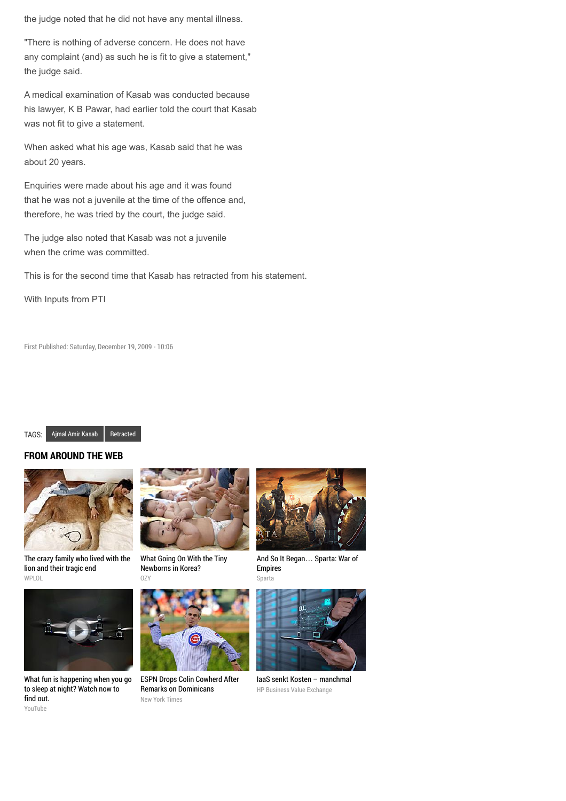the judge noted that he did not have any mental illness.

"There is nothing of adverse concern. He does not have any complaint (and) as such he is fit to give a statement," the judge said.

A medical examination of Kasab was conducted because his lawyer, K B Pawar, had earlier told the court that Kasab was not fit to give a statement.

When asked what his age was, Kasab said that he was about 20 years.

Enquiries were made about his age and it was found that he was not a juvenile at the time of the offence and, therefore, he was tried by the court, the judge said.

The judge also noted that Kasab was not a juvenile when the crime was committed.

This is for the second time that Kasab has retracted from his statement.

With Inputs from PTI

First Published: Saturday, December 19, 2009 - 10:06

#### TAGS: [Ajmal Amir Kasab](http://zeenews.india.com/tags/ajmal-amir-kasab.html) [Retracted](http://zeenews.india.com/tags/retracted.html)

#### **FROM AROUND THE WEB**



[The crazy family who lived with the](http://www.wplol.us/the-crazy-family-who-lived-with-the-lion-and-their-tragic-end/) lion and their tragic end WPLOL



[What fun is happening when you go](http://youtu.be/uj0v1BgzUdc?utm_source=outbrain&utm_medium=referral&utm_content=swarm-tvc-type03&utm_campaign=aim) to sleep at night? Watch now to find out. YouTube



[What Going On With the Tiny](http://www.ozy.com/acumen/whats-wrong-with-all-those-little-newborns/40384?utm_source=Outbrain&utm_medium=CPC&utm_campaign=INTL%20-%20All%20Clicks%20ALL%20Devices) Newborns in Korea?

OZY



[ESPN Drops Colin Cowherd After](http://www.nytimes.com/2015/07/25/sports/baseball/colin-cowherd-tries-to-explain-remarks-on-dominicans.html?WT.mc_id=2015-AUGUST-OTB-INTL_AUD_DEV-0801-0831&WT.mc_ev=click&ad-keywords=IntlAudDev) Remarks on Dominicans New York Times



[And So It Began](http://plarium.com/en/strategy-games/sparta-war-of-empires/?plid=67283&pxl=outbrain&publisherid=SP_EN_ROW_New_Pool_Test)… Sparta: War of Empires Sparta



[IaaS senkt Kosten – manchmal](http://businessvalueexchange.com/de/2015/06/23/iaas-senkt-kosten-manchmal/) HP Business Value Exchange